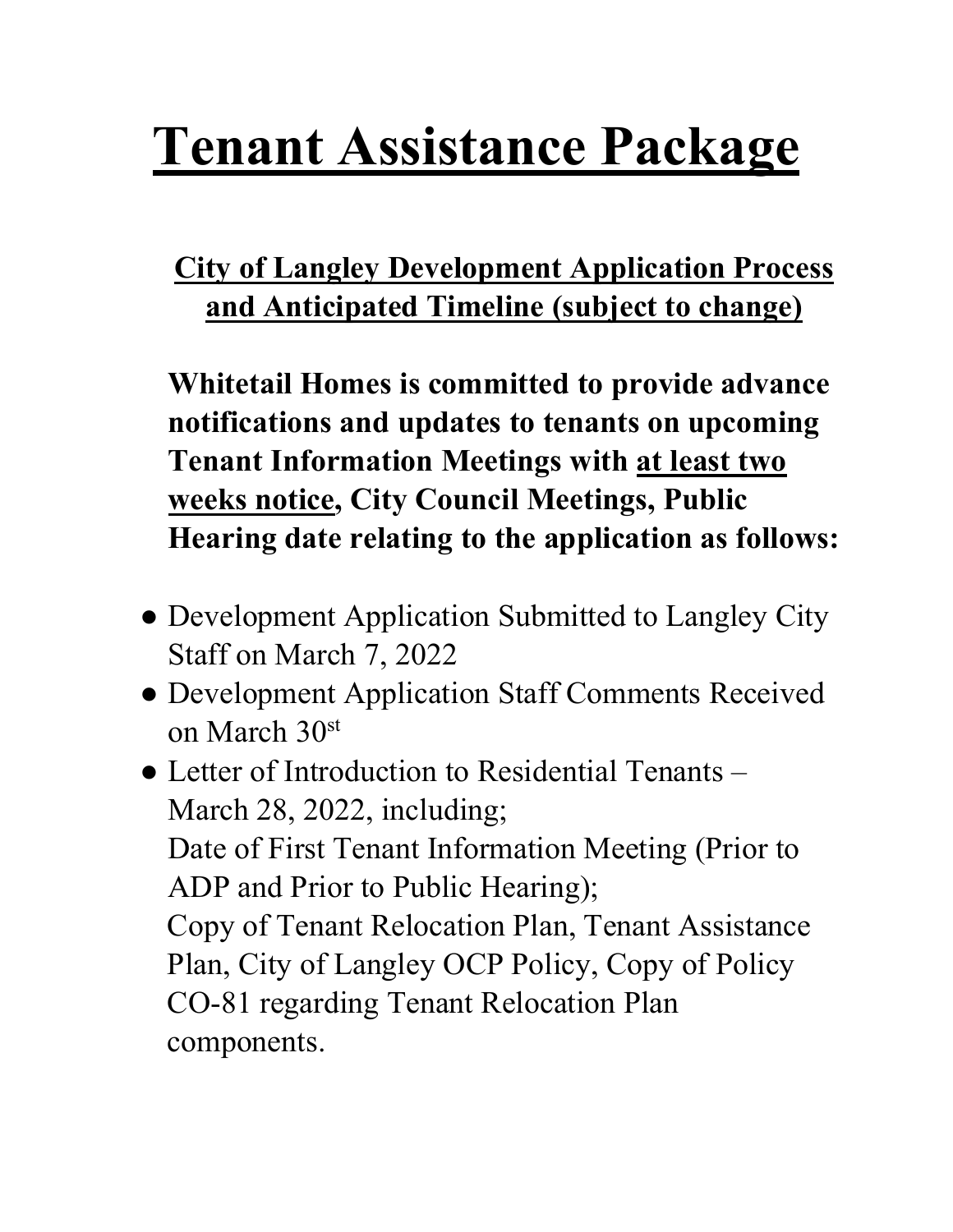# **Tenant Assistance Package**

# **City of Langley Development Application Process and Anticipated Timeline (subject to change)**

**Whitetail Homes is committed to provide advance notifications and updates to tenants on upcoming Tenant Information Meetings with at least two weeks notice, City Council Meetings, Public Hearing date relating to the application as follows:**

- Development Application Submitted to Langley City Staff on March 7, 2022
- Development Application Staff Comments Received on March 30st
- Letter of Introduction to Residential Tenants March 28, 2022, including; Date of First Tenant Information Meeting (Prior to ADP and Prior to Public Hearing); Copy of Tenant Relocation Plan, Tenant Assistance Plan, City of Langley OCP Policy, Copy of Policy CO-81 regarding Tenant Relocation Plan components.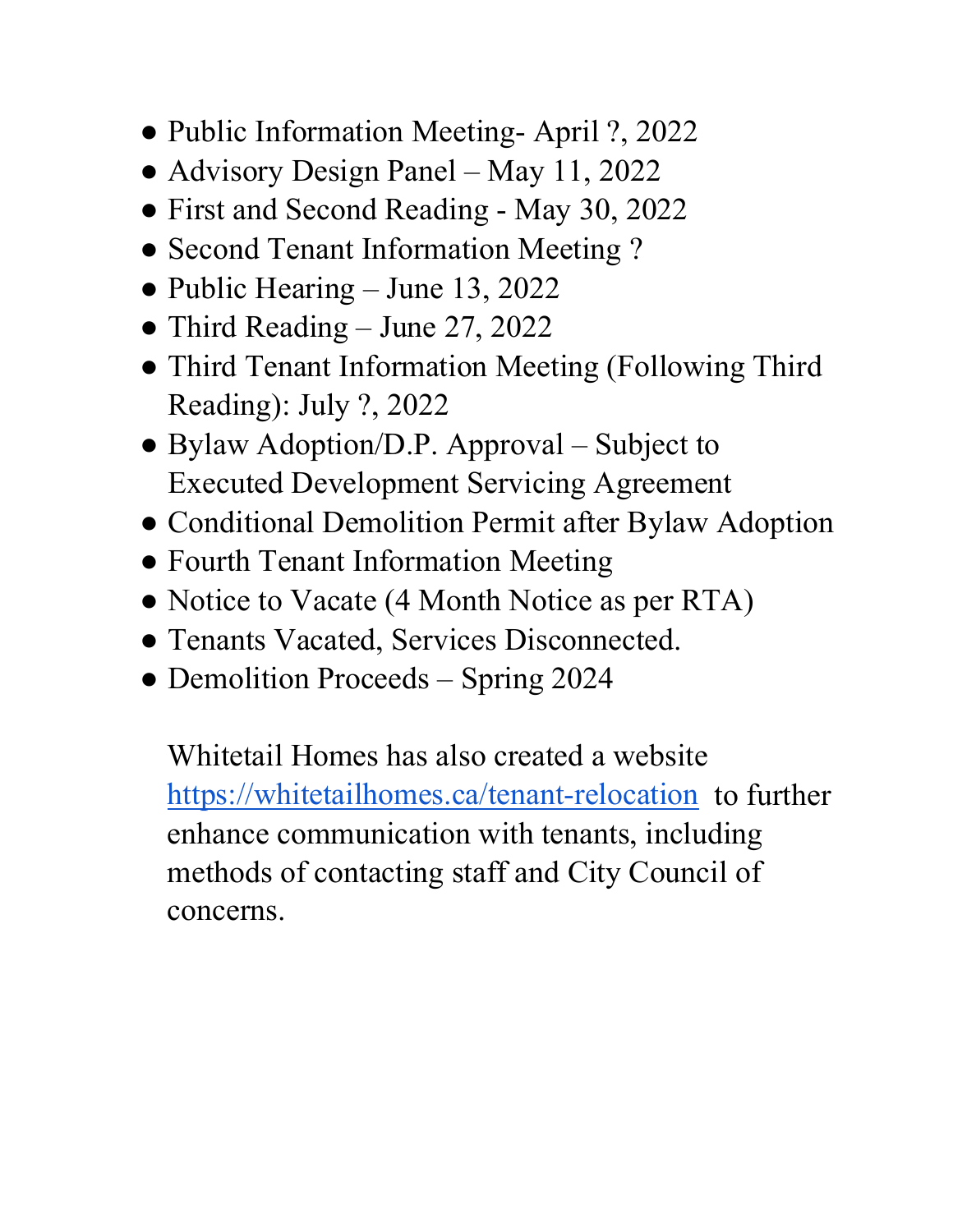- Public Information Meeting-April ?, 2022
- Advisory Design Panel May 11, 2022
- First and Second Reading May 30, 2022
- Second Tenant Information Meeting ?
- Public Hearing June 13, 2022
- Third Reading June 27, 2022
- Third Tenant Information Meeting (Following Third Reading): July ?, 2022
- Bylaw Adoption/D.P. Approval Subject to Executed Development Servicing Agreement
- Conditional Demolition Permit after Bylaw Adoption
- Fourth Tenant Information Meeting
- Notice to Vacate (4 Month Notice as per RTA)
- Tenants Vacated, Services Disconnected.
- Demolition Proceeds Spring 2024

Whitetail Homes has also created a website [https://whitetailhomes.ca/tenant-relocation](about:blank) to further enhance communication with tenants, including methods of contacting staff and City Council of concerns.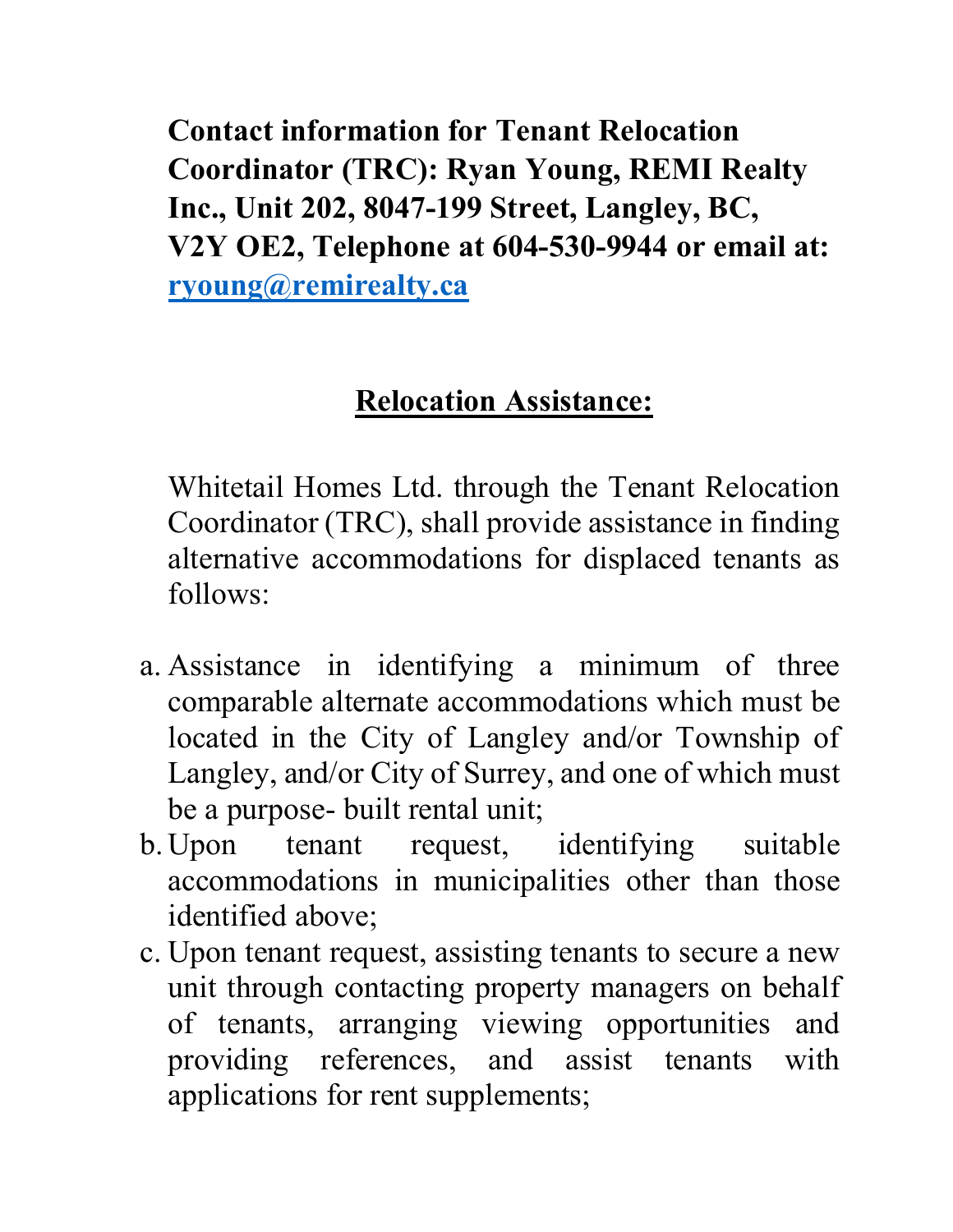**Contact information for Tenant Relocation Coordinator (TRC): Ryan Young, REMI Realty Inc., Unit 202, 8047-199 Street, Langley, BC, V2Y OE2, Telephone at 604-530-9944 or email at: [ryoung@remirealty.ca](about:blank)** 

# **Relocation Assistance:**

Whitetail Homes Ltd. through the Tenant Relocation Coordinator (TRC), shall provide assistance in finding alternative accommodations for displaced tenants as follows:

- a. Assistance in identifying a minimum of three comparable alternate accommodations which must be located in the City of Langley and/or Township of Langley, and/or City of Surrey, and one of which must be a purpose- built rental unit;
- b. Upon tenant request, identifying suitable accommodations in municipalities other than those identified above;
- c. Upon tenant request, assisting tenants to secure a new unit through contacting property managers on behalf of tenants, arranging viewing opportunities and providing references, and assist tenants with applications for rent supplements;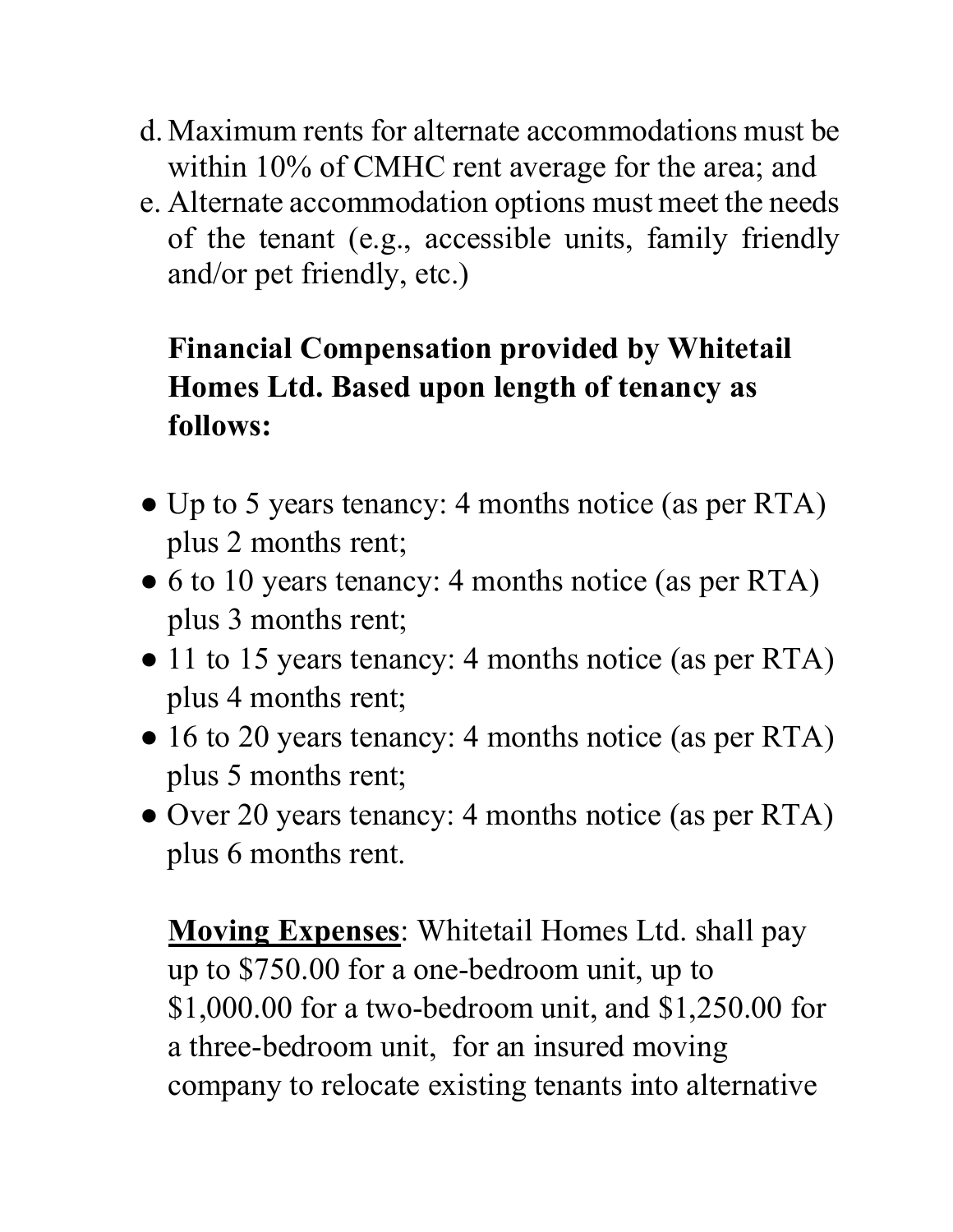- d. Maximum rents for alternate accommodations must be within 10% of CMHC rent average for the area; and
- e. Alternate accommodation options must meet the needs of the tenant (e.g., accessible units, family friendly and/or pet friendly, etc.)

# **Financial Compensation provided by Whitetail Homes Ltd. Based upon length of tenancy as follows:**

- Up to 5 years tenancy: 4 months notice (as per RTA) plus 2 months rent;
- 6 to 10 years tenancy: 4 months notice (as per RTA) plus 3 months rent;
- 11 to 15 years tenancy: 4 months notice (as per RTA) plus 4 months rent;
- 16 to 20 years tenancy: 4 months notice (as per RTA) plus 5 months rent;
- Over 20 years tenancy: 4 months notice (as per RTA) plus 6 months rent.

**Moving Expenses**: Whitetail Homes Ltd. shall pay up to \$750.00 for a one-bedroom unit, up to \$1,000.00 for a two-bedroom unit, and \$1,250.00 for a three-bedroom unit, for an insured moving company to relocate existing tenants into alternative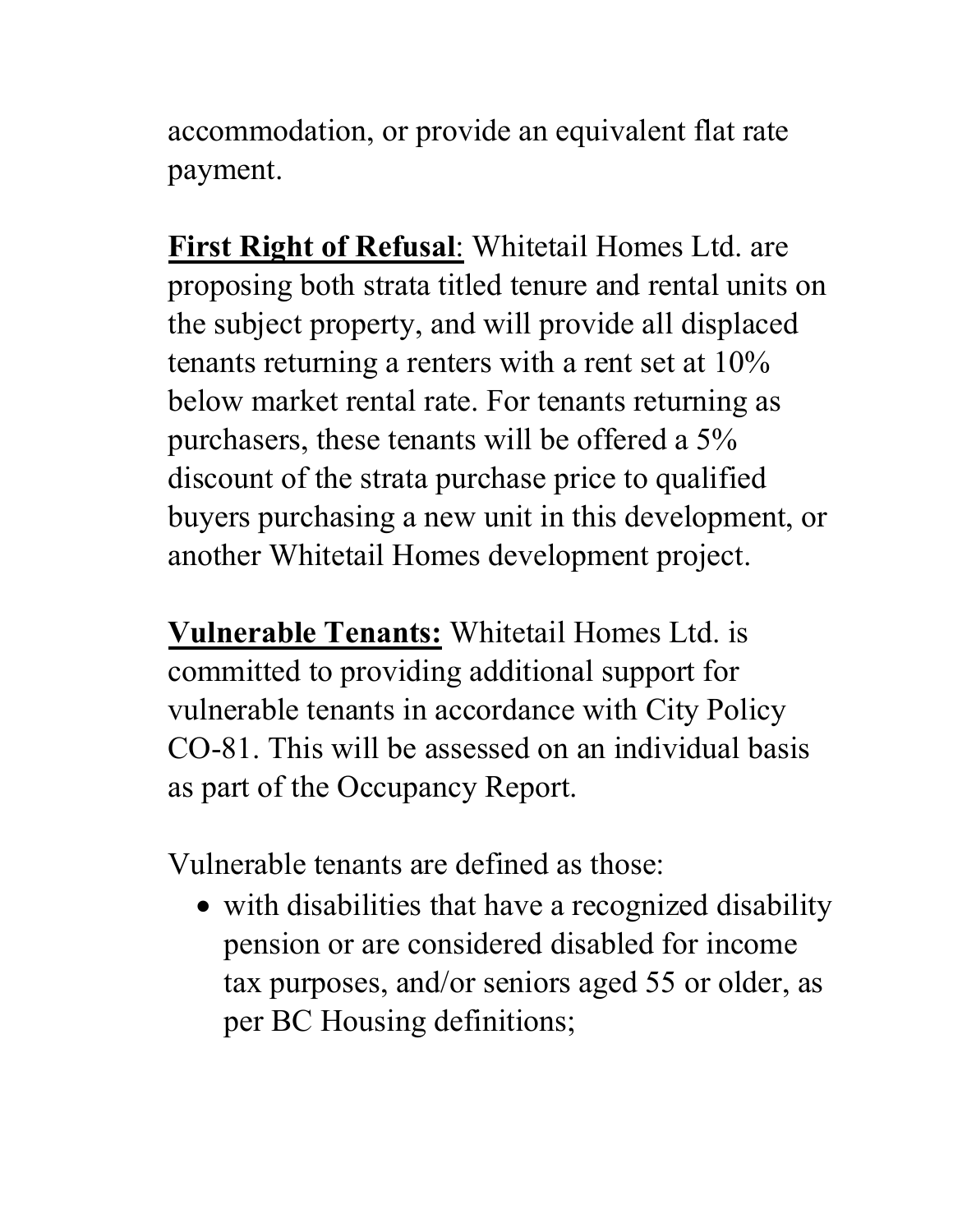accommodation, or provide an equivalent flat rate payment.

**First Right of Refusal**: Whitetail Homes Ltd. are proposing both strata titled tenure and rental units on the subject property, and will provide all displaced tenants returning a renters with a rent set at 10% below market rental rate. For tenants returning as purchasers, these tenants will be offered a 5% discount of the strata purchase price to qualified buyers purchasing a new unit in this development, or another Whitetail Homes development project.

**Vulnerable Tenants:** Whitetail Homes Ltd. is committed to providing additional support for vulnerable tenants in accordance with City Policy CO-81. This will be assessed on an individual basis as part of the Occupancy Report.

Vulnerable tenants are defined as those:

• with disabilities that have a recognized disability pension or are considered disabled for income tax purposes, and/or seniors aged 55 or older, as per BC Housing definitions;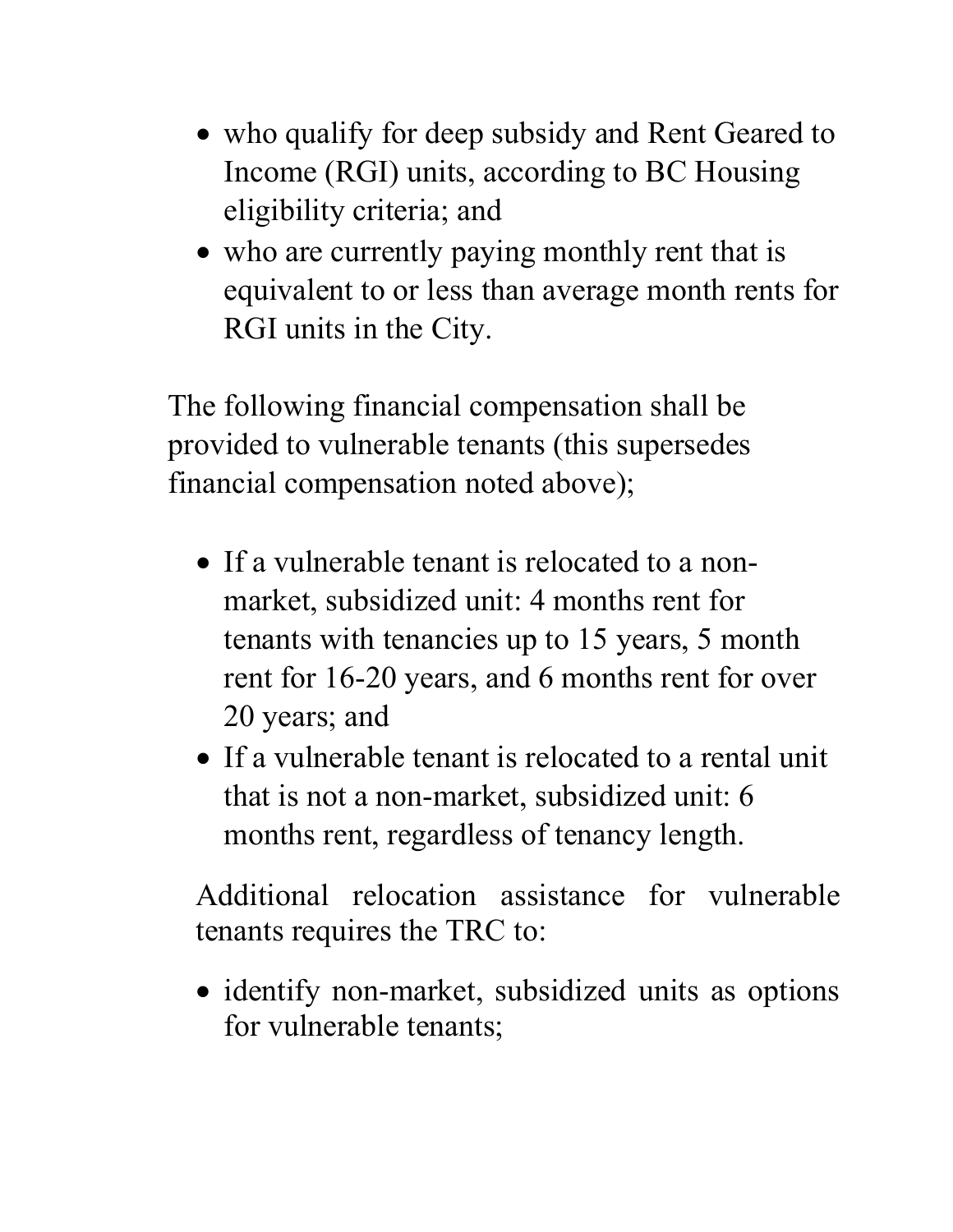- who qualify for deep subsidy and Rent Geared to Income (RGI) units, according to BC Housing eligibility criteria; and
- who are currently paying monthly rent that is equivalent to or less than average month rents for RGI units in the City.

The following financial compensation shall be provided to vulnerable tenants (this supersedes financial compensation noted above);

- If a vulnerable tenant is relocated to a nonmarket, subsidized unit: 4 months rent for tenants with tenancies up to 15 years, 5 month rent for 16-20 years, and 6 months rent for over 20 years; and
- If a vulnerable tenant is relocated to a rental unit that is not a non-market, subsidized unit: 6 months rent, regardless of tenancy length.

Additional relocation assistance for vulnerable tenants requires the TRC to:

• identify non-market, subsidized units as options for vulnerable tenants;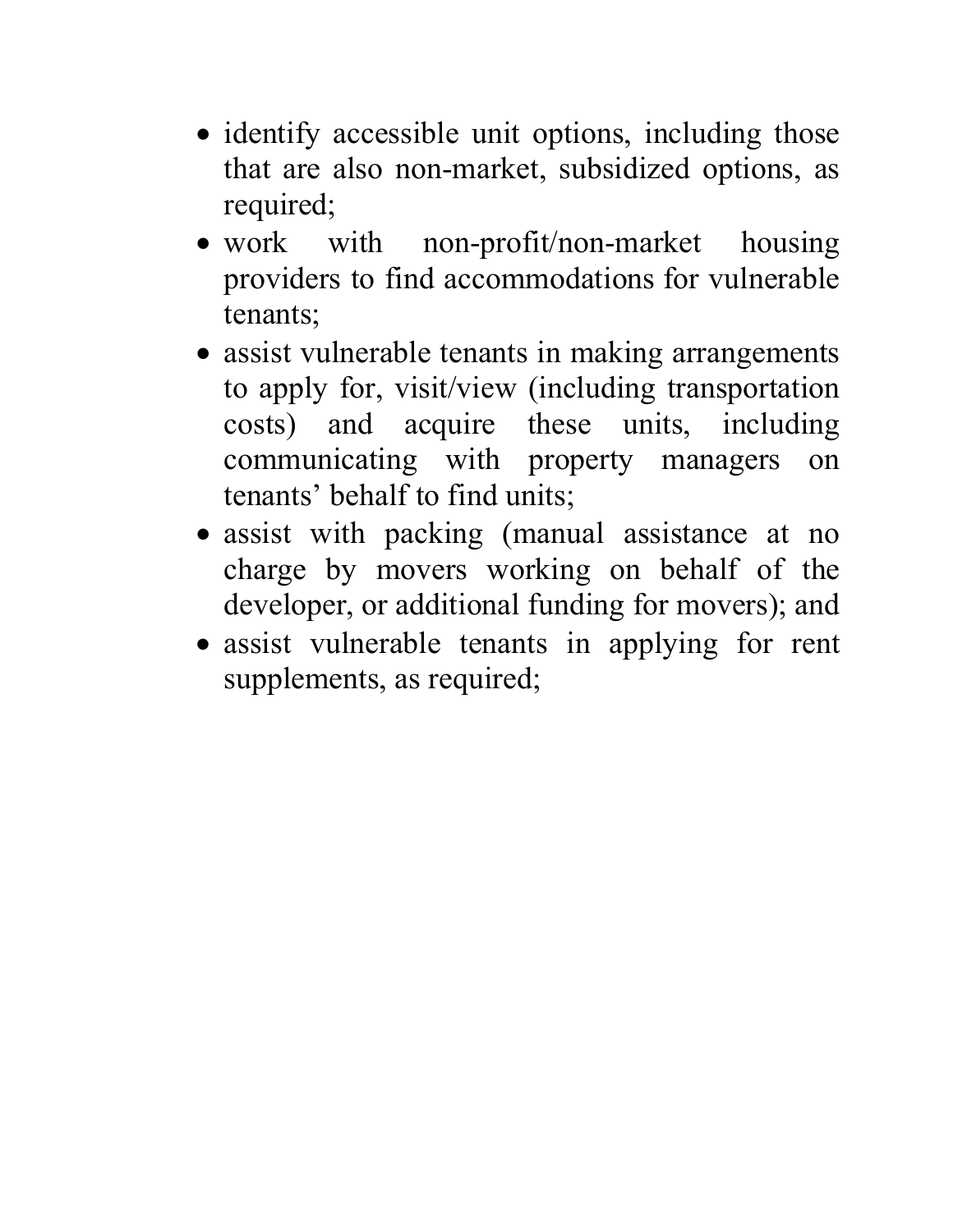- identify accessible unit options, including those that are also non-market, subsidized options, as required;
- work with non-profit/non-market housing providers to find accommodations for vulnerable tenants;
- assist vulnerable tenants in making arrangements to apply for, visit/view (including transportation costs) and acquire these units, including communicating with property managers on tenants' behalf to find units;
- assist with packing (manual assistance at no charge by movers working on behalf of the developer, or additional funding for movers); and
- assist vulnerable tenants in applying for rent supplements, as required;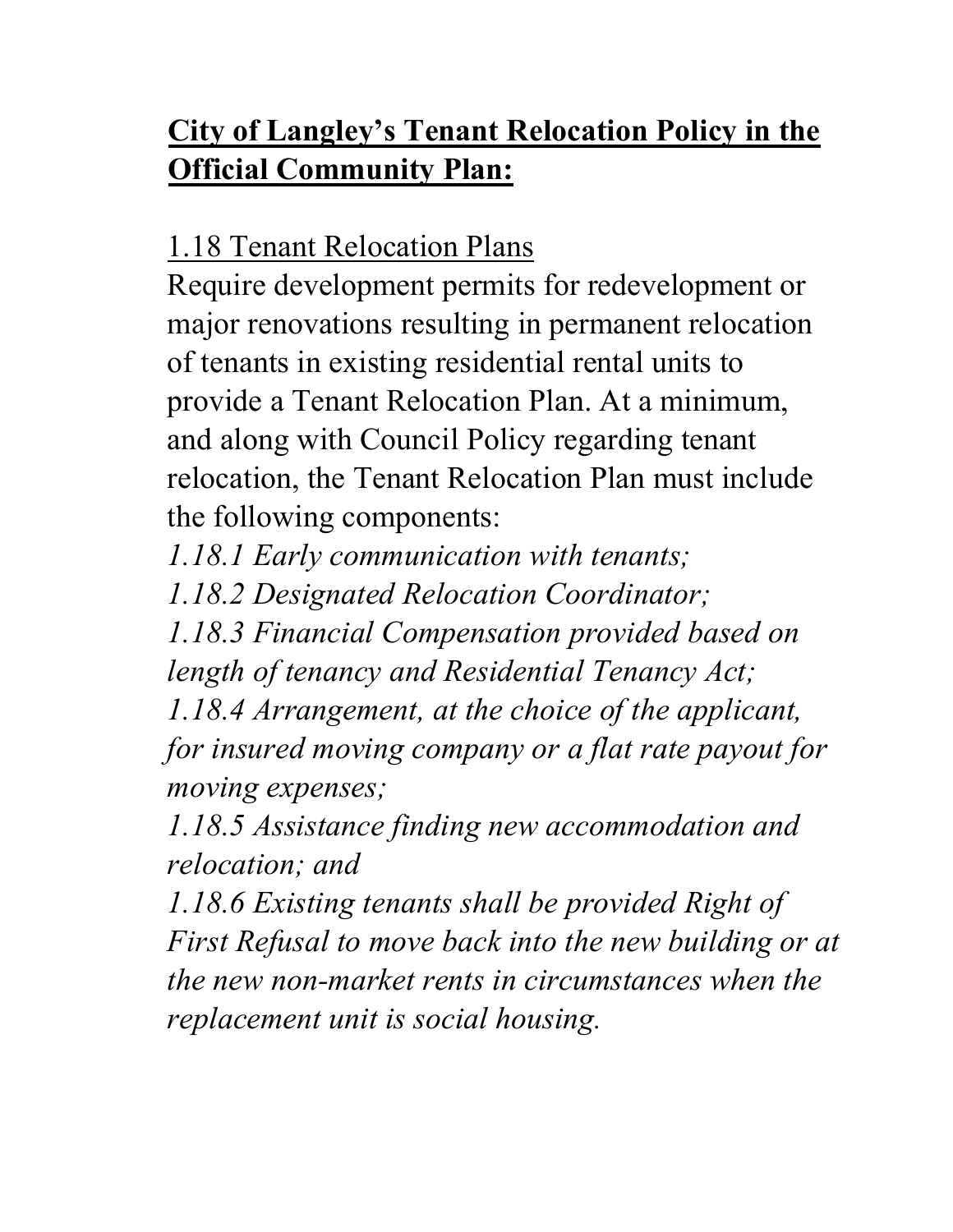# **City of Langley's Tenant Relocation Policy in the Official Community Plan:**

# 1.18 Tenant Relocation Plans

Require development permits for redevelopment or major renovations resulting in permanent relocation of tenants in existing residential rental units to provide a Tenant Relocation Plan. At a minimum, and along with Council Policy regarding tenant relocation, the Tenant Relocation Plan must include the following components:

*1.18.1 Early communication with tenants;*

*1.18.2 Designated Relocation Coordinator;*

*1.18.3 Financial Compensation provided based on length of tenancy and Residential Tenancy Act;*

*1.18.4 Arrangement, at the choice of the applicant, for insured moving company or a flat rate payout for moving expenses;*

*1.18.5 Assistance finding new accommodation and relocation; and*

*1.18.6 Existing tenants shall be provided Right of First Refusal to move back into the new building or at the new non-market rents in circumstances when the replacement unit is social housing.*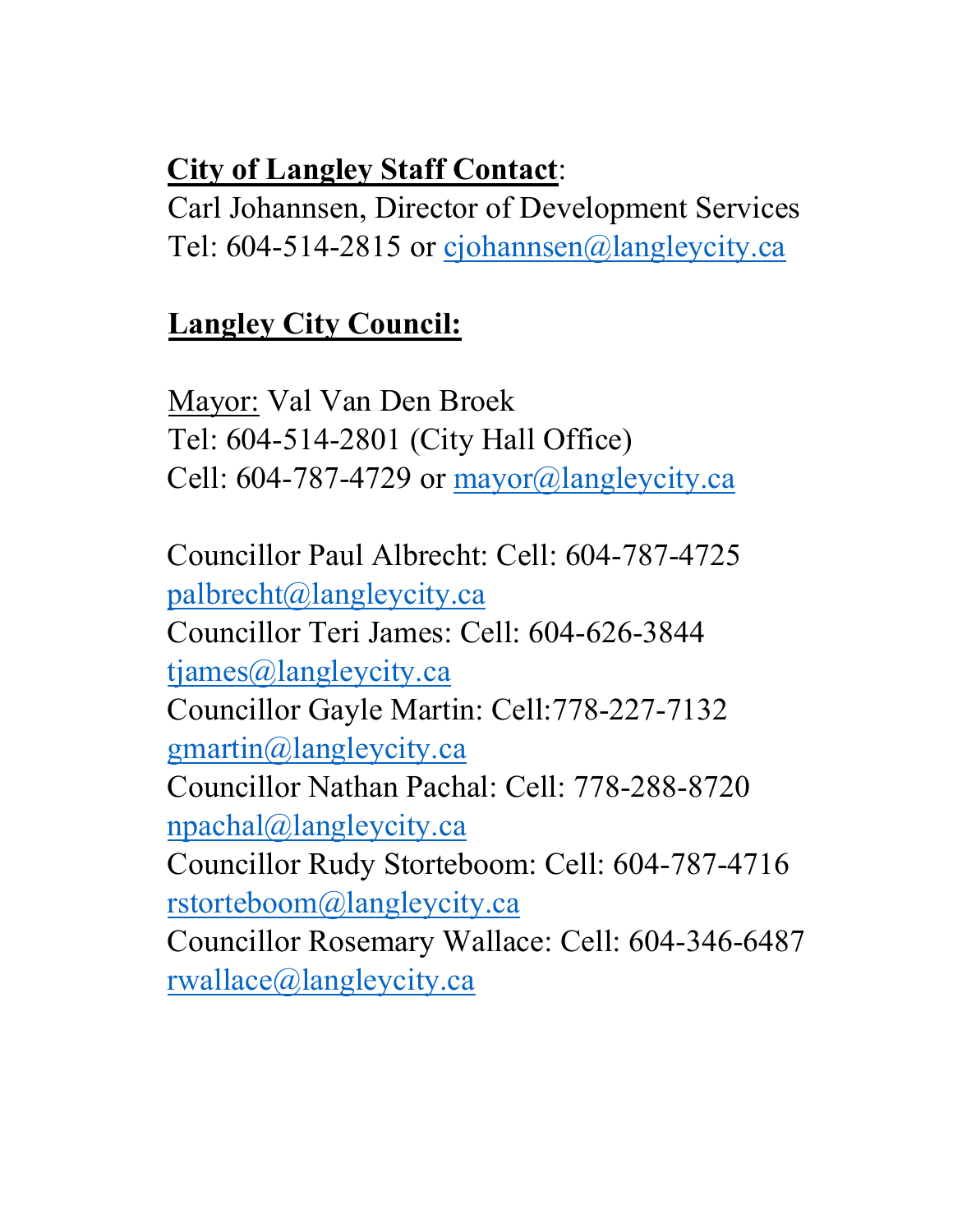#### **City of Langley Staff Contact**:

Carl Johannsen, Director of Development Services Tel: 604-514-2815 or [cjohannsen@langleycity.ca](about:blank) 

# **Langley City Council:**

Mayor: Val Van Den Broek Tel: 604-514-2801 (City Hall Office) Cell: 604-787-4729 or  $\frac{\text{mayor}}{\text{(a)length}}$ 

Councillor Paul Albrecht: Cell: 604-787-4725 [palbrecht@langleycity.ca](about:blank) Councillor Teri James: Cell: 604-626-3844 [tjames@langleycity.ca](about:blank)  Councillor Gayle Martin: Cell:778-227-7132 [gmartin@langleycity.ca](about:blank)  Councillor Nathan Pachal: Cell: 778-288-8720 [npachal@langleycity.ca](about:blank)  Councillor Rudy Storteboom: Cell: 604-787-4716 [rstorteboom@langleycity.ca](about:blank)  Councillor Rosemary Wallace: Cell: 604-346-6487 [rwallace@langleycity.ca](about:blank)